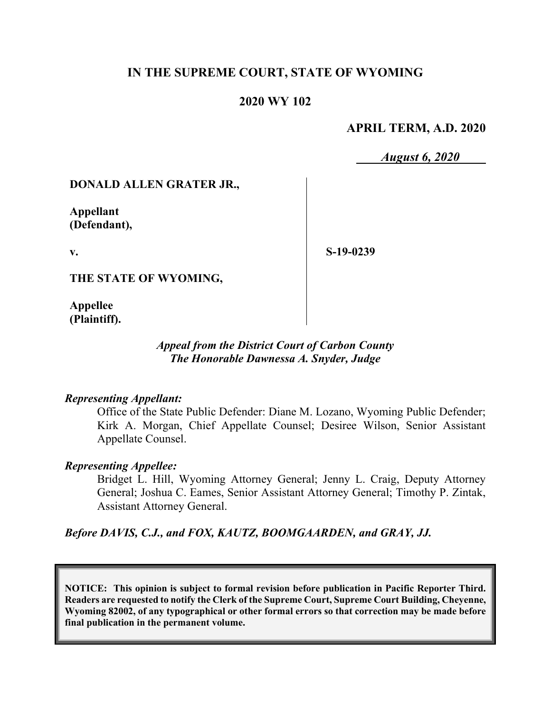# **IN THE SUPREME COURT, STATE OF WYOMING**

# **2020 WY 102**

# **APRIL TERM, A.D. 2020**

*August 6, 2020*

### **DONALD ALLEN GRATER JR.,**

**Appellant (Defendant),**

**v.**

**S-19-0239**

**THE STATE OF WYOMING,**

**Appellee (Plaintiff).**

### *Appeal from the District Court of Carbon County The Honorable Dawnessa A. Snyder, Judge*

#### *Representing Appellant:*

Office of the State Public Defender: Diane M. Lozano, Wyoming Public Defender; Kirk A. Morgan, Chief Appellate Counsel; Desiree Wilson, Senior Assistant Appellate Counsel.

### *Representing Appellee:*

Bridget L. Hill, Wyoming Attorney General; Jenny L. Craig, Deputy Attorney General; Joshua C. Eames, Senior Assistant Attorney General; Timothy P. Zintak, Assistant Attorney General.

*Before DAVIS, C.J., and FOX, KAUTZ, BOOMGAARDEN, and GRAY, JJ.*

**NOTICE: This opinion is subject to formal revision before publication in Pacific Reporter Third. Readers are requested to notify the Clerk of the Supreme Court, Supreme Court Building, Cheyenne, Wyoming 82002, of any typographical or other formal errors so that correction may be made before final publication in the permanent volume.**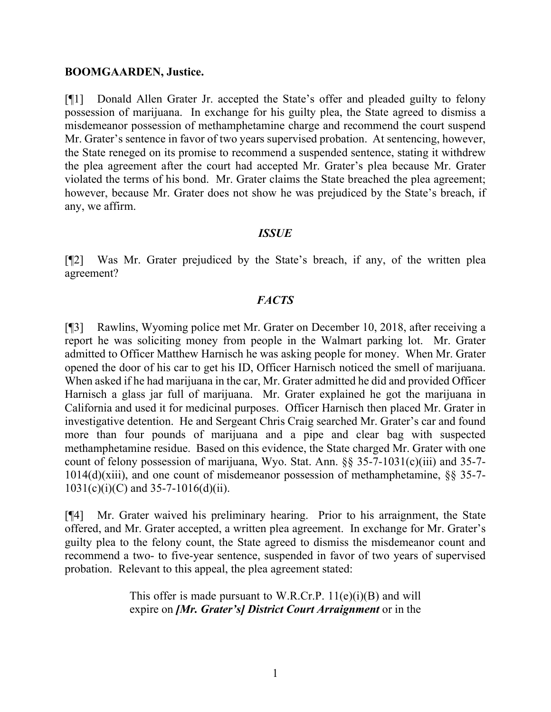#### **BOOMGAARDEN, Justice.**

[¶1] Donald Allen Grater Jr. accepted the State's offer and pleaded guilty to felony possession of marijuana. In exchange for his guilty plea, the State agreed to dismiss a misdemeanor possession of methamphetamine charge and recommend the court suspend Mr. Grater's sentence in favor of two years supervised probation. At sentencing, however, the State reneged on its promise to recommend a suspended sentence, stating it withdrew the plea agreement after the court had accepted Mr. Grater's plea because Mr. Grater violated the terms of his bond. Mr. Grater claims the State breached the plea agreement; however, because Mr. Grater does not show he was prejudiced by the State's breach, if any, we affirm.

### *ISSUE*

[¶2] Was Mr. Grater prejudiced by the State's breach, if any, of the written plea agreement?

### *FACTS*

[¶3] Rawlins, Wyoming police met Mr. Grater on December 10, 2018, after receiving a report he was soliciting money from people in the Walmart parking lot. Mr. Grater admitted to Officer Matthew Harnisch he was asking people for money. When Mr. Grater opened the door of his car to get his ID, Officer Harnisch noticed the smell of marijuana. When asked if he had marijuana in the car, Mr. Grater admitted he did and provided Officer Harnisch a glass jar full of marijuana. Mr. Grater explained he got the marijuana in California and used it for medicinal purposes. Officer Harnisch then placed Mr. Grater in investigative detention. He and Sergeant Chris Craig searched Mr. Grater's car and found more than four pounds of marijuana and a pipe and clear bag with suspected methamphetamine residue. Based on this evidence, the State charged Mr. Grater with one count of felony possession of marijuana, Wyo. Stat. Ann. §§ 35-7-1031(c)(iii) and 35-7- 1014(d)(xiii), and one count of misdemeanor possession of methamphetamine, §§ 35-7-  $1031(c)(i)(C)$  and  $35-7-1016(d)(ii)$ .

[¶4] Mr. Grater waived his preliminary hearing. Prior to his arraignment, the State offered, and Mr. Grater accepted, a written plea agreement. In exchange for Mr. Grater's guilty plea to the felony count, the State agreed to dismiss the misdemeanor count and recommend a two- to five-year sentence, suspended in favor of two years of supervised probation. Relevant to this appeal, the plea agreement stated:

> This offer is made pursuant to W.R.Cr.P.  $11(e)(i)(B)$  and will expire on *[Mr. Grater's] District Court Arraignment* or in the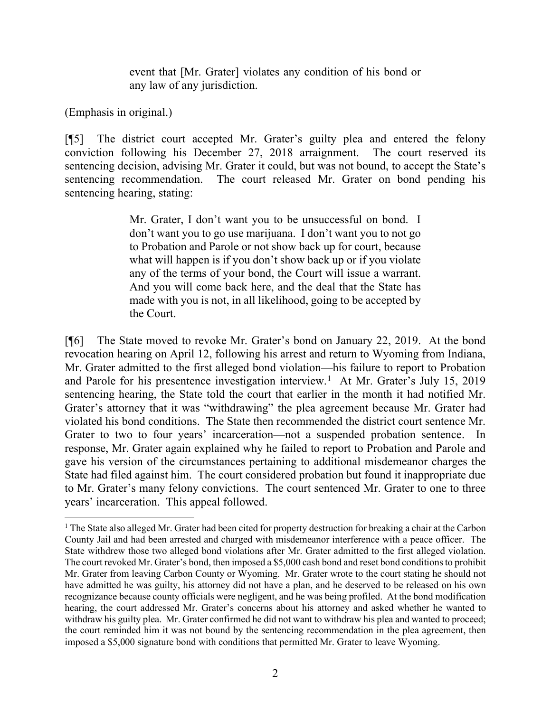event that [Mr. Grater] violates any condition of his bond or any law of any jurisdiction.

(Emphasis in original.)

[¶5] The district court accepted Mr. Grater's guilty plea and entered the felony conviction following his December 27, 2018 arraignment. The court reserved its sentencing decision, advising Mr. Grater it could, but was not bound, to accept the State's sentencing recommendation. The court released Mr. Grater on bond pending his sentencing hearing, stating:

> Mr. Grater, I don't want you to be unsuccessful on bond. I don't want you to go use marijuana. I don't want you to not go to Probation and Parole or not show back up for court, because what will happen is if you don't show back up or if you violate any of the terms of your bond, the Court will issue a warrant. And you will come back here, and the deal that the State has made with you is not, in all likelihood, going to be accepted by the Court.

[¶6] The State moved to revoke Mr. Grater's bond on January 22, 2019. At the bond revocation hearing on April 12, following his arrest and return to Wyoming from Indiana, Mr. Grater admitted to the first alleged bond violation—his failure to report to Probation and Parole for his presentence investigation interview. [1](#page-2-0) At Mr. Grater's July 15, 2019 sentencing hearing, the State told the court that earlier in the month it had notified Mr. Grater's attorney that it was "withdrawing" the plea agreement because Mr. Grater had violated his bond conditions. The State then recommended the district court sentence Mr. Grater to two to four years' incarceration—not a suspended probation sentence. In response, Mr. Grater again explained why he failed to report to Probation and Parole and gave his version of the circumstances pertaining to additional misdemeanor charges the State had filed against him. The court considered probation but found it inappropriate due to Mr. Grater's many felony convictions. The court sentenced Mr. Grater to one to three years' incarceration. This appeal followed.

<span id="page-2-0"></span><sup>&</sup>lt;sup>1</sup> The State also alleged Mr. Grater had been cited for property destruction for breaking a chair at the Carbon County Jail and had been arrested and charged with misdemeanor interference with a peace officer. The State withdrew those two alleged bond violations after Mr. Grater admitted to the first alleged violation. The court revoked Mr. Grater's bond, then imposed a \$5,000 cash bond and reset bond conditions to prohibit Mr. Grater from leaving Carbon County or Wyoming. Mr. Grater wrote to the court stating he should not have admitted he was guilty, his attorney did not have a plan, and he deserved to be released on his own recognizance because county officials were negligent, and he was being profiled. At the bond modification hearing, the court addressed Mr. Grater's concerns about his attorney and asked whether he wanted to withdraw his guilty plea. Mr. Grater confirmed he did not want to withdraw his plea and wanted to proceed; the court reminded him it was not bound by the sentencing recommendation in the plea agreement, then imposed a \$5,000 signature bond with conditions that permitted Mr. Grater to leave Wyoming.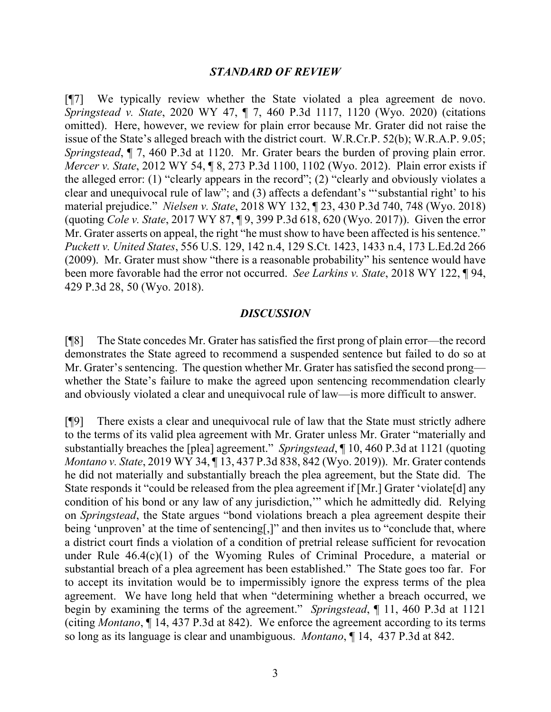#### *STANDARD OF REVIEW*

[¶7] We typically review whether the State violated a plea agreement de novo. *Springstead v. State*, 2020 WY 47, ¶ 7, 460 P.3d 1117, 1120 (Wyo. 2020) (citations omitted). Here, however, we review for plain error because Mr. Grater did not raise the issue of the State's alleged breach with the district court. W.R.Cr.P. 52(b); W.R.A.P. 9.05; *Springstead*,  $\parallel$  7, 460 P.3d at 1120. Mr. Grater bears the burden of proving plain error. *Mercer v. State*, 2012 WY 54, ¶ 8, 273 P.3d 1100, 1102 (Wyo. 2012). Plain error exists if the alleged error: (1) "clearly appears in the record"; (2) "clearly and obviously violates a clear and unequivocal rule of law"; and (3) affects a defendant's "'substantial right' to his material prejudice." *Nielsen v. State*, 2018 WY 132, ¶ 23, 430 P.3d 740, 748 (Wyo. 2018) (quoting *Cole v. State*, 2017 WY 87, ¶ 9, 399 P.3d 618, 620 (Wyo. 2017)). Given the error Mr. Grater asserts on appeal, the right "he must show to have been affected is his sentence." *Puckett v. United States*, 556 U.S. 129, 142 n.4, 129 S.Ct. 1423, 1433 n.4, 173 L.Ed.2d 266 (2009). Mr. Grater must show "there is a reasonable probability" his sentence would have been more favorable had the error not occurred. *See Larkins v. State*, 2018 WY 122, ¶ 94, 429 P.3d 28, 50 (Wyo. 2018).

#### *DISCUSSION*

[¶8] The State concedes Mr. Grater has satisfied the first prong of plain error—the record demonstrates the State agreed to recommend a suspended sentence but failed to do so at Mr. Grater's sentencing. The question whether Mr. Grater has satisfied the second prong whether the State's failure to make the agreed upon sentencing recommendation clearly and obviously violated a clear and unequivocal rule of law—is more difficult to answer.

[¶9] There exists a clear and unequivocal rule of law that the State must strictly adhere to the terms of its valid plea agreement with Mr. Grater unless Mr. Grater "materially and substantially breaches the [plea] agreement." *Springstead*, ¶ 10, 460 P.3d at 1121 (quoting *Montano v. State*, 2019 WY 34, ¶ 13, 437 P.3d 838, 842 (Wyo. 2019)). Mr. Grater contends he did not materially and substantially breach the plea agreement, but the State did. The State responds it "could be released from the plea agreement if [Mr.] Grater 'violate[d] any condition of his bond or any law of any jurisdiction,'" which he admittedly did. Relying on *Springstead*, the State argues "bond violations breach a plea agreement despite their being 'unproven' at the time of sentencing[,]" and then invites us to "conclude that, where a district court finds a violation of a condition of pretrial release sufficient for revocation under Rule  $46.4(c)(1)$  of the Wyoming Rules of Criminal Procedure, a material or substantial breach of a plea agreement has been established." The State goes too far. For to accept its invitation would be to impermissibly ignore the express terms of the plea agreement. We have long held that when "determining whether a breach occurred, we begin by examining the terms of the agreement." *Springstead*, ¶ 11, 460 P.3d at 1121 (citing *Montano*, ¶ 14, 437 P.3d at 842). We enforce the agreement according to its terms so long as its language is clear and unambiguous. *Montano*, ¶ 14, 437 P.3d at 842.